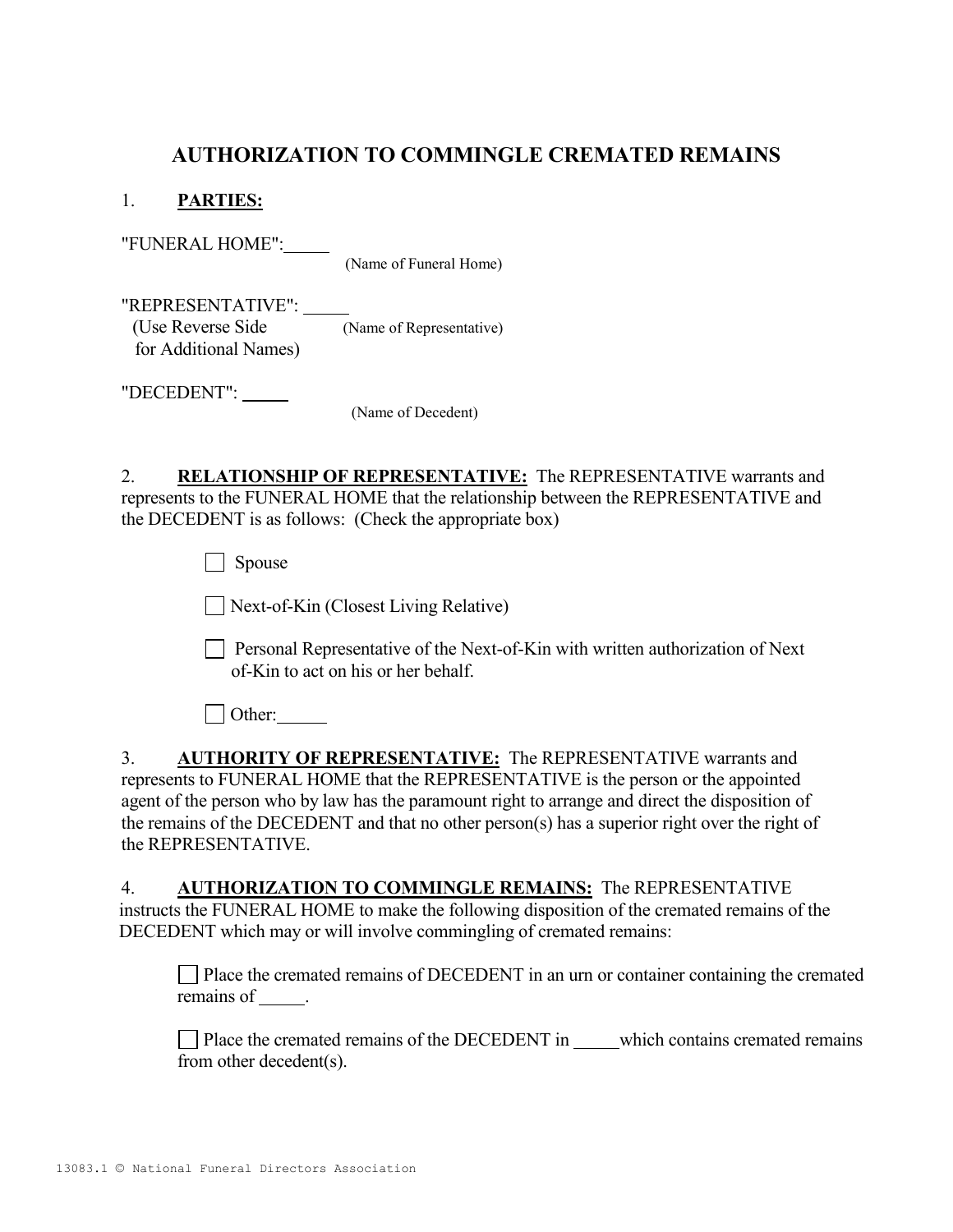## AUTHORIZATION TO COMMINGLE CREMATED REMAINS

1. PARTIES:

"FUNERAL HOME":

(Name of Funeral Home)

 "REPRESENTATIVE": (Use Reverse Side (Name of Representative) for Additional Names)

"DECEDENT":

(Name of Decedent)

2. RELATIONSHIP OF REPRESENTATIVE: The REPRESENTATIVE warrants and represents to the FUNERAL HOME that the relationship between the REPRESENTATIVE and the DECEDENT is as follows: (Check the appropriate box)

Spouse

Next-of-Kin (Closest Living Relative)

 Personal Representative of the Next-of-Kin with written authorization of Next of-Kin to act on his or her behalf.

 $\Box$  Other:

 3. AUTHORITY OF REPRESENTATIVE: The REPRESENTATIVE warrants and represents to FUNERAL HOME that the REPRESENTATIVE is the person or the appointed agent of the person who by law has the paramount right to arrange and direct the disposition of the remains of the DECEDENT and that no other person(s) has a superior right over the right of the REPRESENTATIVE.

4. AUTHORIZATION TO COMMINGLE REMAINS: The REPRESENTATIVE instructs the FUNERAL HOME to make the following disposition of the cremated remains of the DECEDENT which may or will involve commingling of cremated remains:

Place the cremated remains of DECEDENT in an urn or container containing the cremated remains of .

 $\Box$  Place the cremated remains of the DECEDENT in which contains cremated remains from other decedent(s).